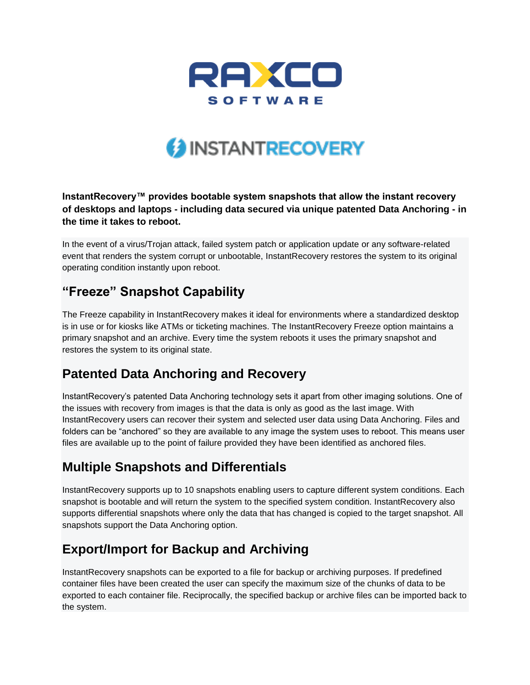

# **3 INSTANTRECOVERY**

#### **InstantRecovery™ provides bootable system snapshots that allow the instant recovery of desktops and laptops - including data secured via unique patented Data Anchoring - in the time it takes to reboot.**

In the event of a virus/Trojan attack, failed system patch or application update or any software-related event that renders the system corrupt or unbootable, InstantRecovery restores the system to its original operating condition instantly upon reboot.

### **"Freeze" Snapshot Capability**

The Freeze capability in InstantRecovery makes it ideal for environments where a standardized desktop is in use or for kiosks like ATMs or ticketing machines. The InstantRecovery Freeze option maintains a primary snapshot and an archive. Every time the system reboots it uses the primary snapshot and restores the system to its original state.

### **Patented Data Anchoring and Recovery**

InstantRecovery's patented Data Anchoring technology sets it apart from other imaging solutions. One of the issues with recovery from images is that the data is only as good as the last image. With InstantRecovery users can recover their system and selected user data using Data Anchoring. Files and folders can be "anchored" so they are available to any image the system uses to reboot. This means user files are available up to the point of failure provided they have been identified as anchored files.

### **Multiple Snapshots and Differentials**

InstantRecovery supports up to 10 snapshots enabling users to capture different system conditions. Each snapshot is bootable and will return the system to the specified system condition. InstantRecovery also supports differential snapshots where only the data that has changed is copied to the target snapshot. All snapshots support the Data Anchoring option.

### **Export/Import for Backup and Archiving**

InstantRecovery snapshots can be exported to a file for backup or archiving purposes. If predefined container files have been created the user can specify the maximum size of the chunks of data to be exported to each container file. Reciprocally, the specified backup or archive files can be imported back to the system.